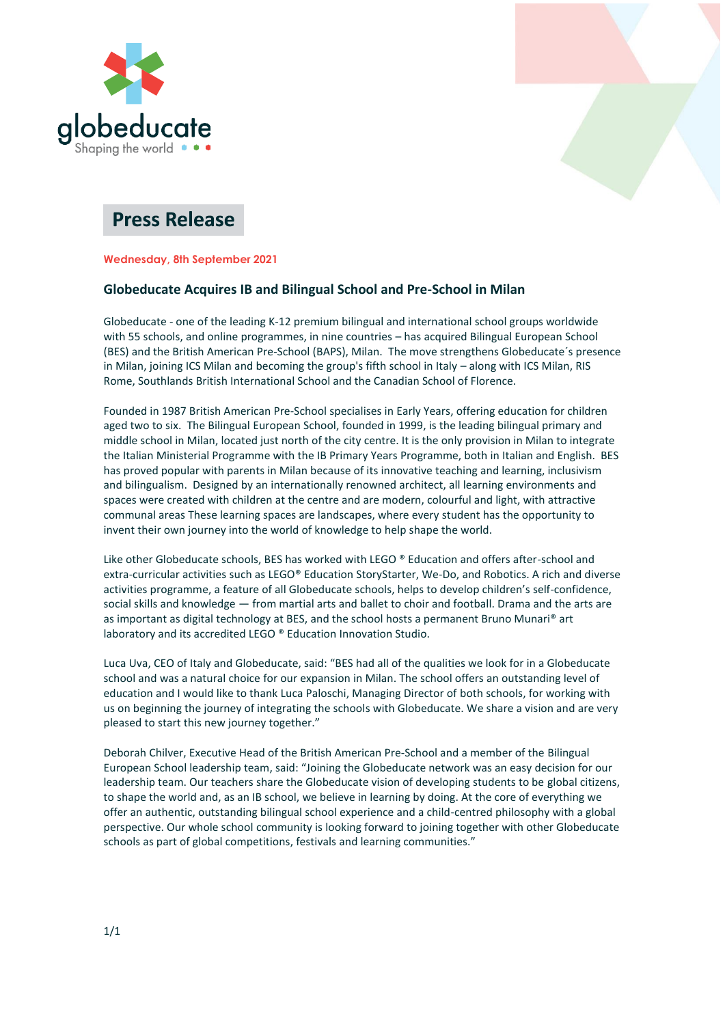



# **Press Release**

**Wednesday, 8th September 2021**

# **Globeducate Acquires IB and Bilingual School and Pre-School in Milan**

Globeducate - one of the leading K-12 premium bilingual and international school groups worldwide with 55 schools, and online programmes, in nine countries – has acquired Bilingual European School (BES) and the British American Pre-School (BAPS), Milan. The move strengthens Globeducate´s presence in Milan, joining ICS Milan and becoming the group's fifth school in Italy – along with ICS Milan, RIS Rome, Southlands British International School and the Canadian School of Florence.

Founded in 1987 British American Pre-School specialises in Early Years, offering education for children aged two to six. The Bilingual European School, founded in 1999, is the leading bilingual primary and middle school in Milan, located just north of the city centre. It is the only provision in Milan to integrate the Italian Ministerial Programme with the IB Primary Years Programme, both in Italian and English. BES has proved popular with parents in Milan because of its innovative teaching and learning, inclusivism and bilingualism. Designed by an internationally renowned architect, all learning environments and spaces were created with children at the centre and are modern, colourful and light, with attractive communal areas These learning spaces are landscapes, where every student has the opportunity to invent their own journey into the world of knowledge to help shape the world.

Like other Globeducate schools, BES has worked with LEGO ® Education and offers after-school and extra-curricular activities such as LEGO® Education StoryStarter, We-Do, and Robotics. A rich and diverse activities programme, a feature of all Globeducate schools, helps to develop children's self-confidence, social skills and knowledge — from martial arts and ballet to choir and football. Drama and the arts are as important as digital technology at BES, and the school hosts a permanent Bruno Munari® art laboratory and its accredited LEGO ® Education Innovation Studio.

Luca Uva, CEO of Italy and Globeducate, said: "BES had all of the qualities we look for in a Globeducate school and was a natural choice for our expansion in Milan. The school offers an outstanding level of education and I would like to thank Luca Paloschi, Managing Director of both schools, for working with us on beginning the journey of integrating the schools with Globeducate. We share a vision and are very pleased to start this new journey together."

Deborah Chilver, Executive Head of the British American Pre-School and a member of the Bilingual European School leadership team, said: "Joining the Globeducate network was an easy decision for our leadership team. Our teachers share the Globeducate vision of developing students to be global citizens, to shape the world and, as an IB school, we believe in learning by doing. At the core of everything we offer an authentic, outstanding bilingual school experience and a child-centred philosophy with a global perspective. Our whole school community is looking forward to joining together with other Globeducate schools as part of global competitions, festivals and learning communities."